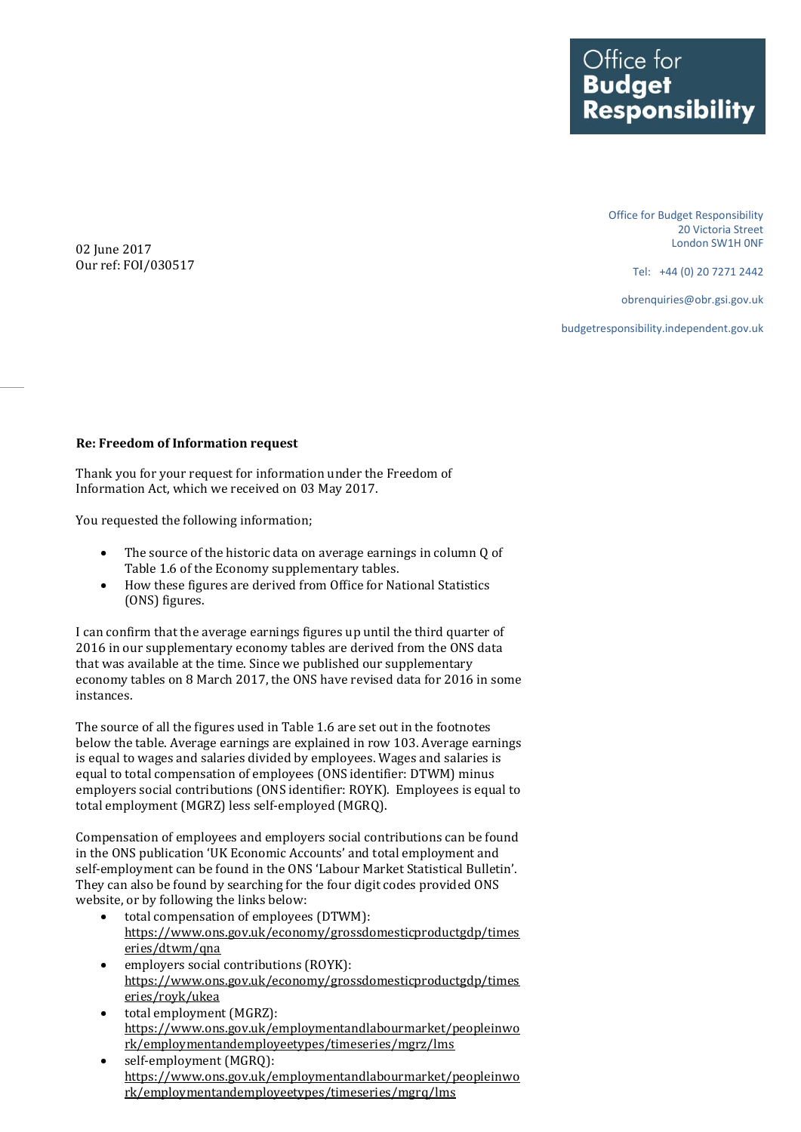Office for<br>**Budget Responsibility** 

> Office for Budget Responsibility 20 Victoria Street London SW1H 0NF

> > Tel: +44 (0) 20 7271 2442

obrenquiries@obr.gsi.gov.uk

budgetresponsibility.independent.gov.uk

02 June 2017 Our ref: FOI/030517

## **Re: Freedom of Information request**

Thank you for your request for information under the Freedom of Information Act, which we received on 03 May 2017.

You requested the following information;

- The source of the historic data on average earnings in column Q of Table 1.6 of the Economy supplementary tables.
- How these figures are derived from Office for National Statistics (ONS) figures.

I can confirm that the average earnings figures up until the third quarter of 2016 in our supplementary economy tables are derived from the ONS data that was available at the time. Since we published our supplementary economy tables on 8 March 2017, the ONS have revised data for 2016 in some instances.

The source of all the figures used in Table 1.6 are set out in the footnotes below the table. Average earnings are explained in row 103. Average earnings is equal to wages and salaries divided by employees. Wages and salaries is equal to total compensation of employees (ONS identifier: DTWM) minus employers social contributions (ONS identifier: ROYK). Employees is equal to total employment (MGRZ) less self-employed (MGRQ).

Compensation of employees and employers social contributions can be found in the ONS publication 'UK Economic Accounts' and total employment and self-employment can be found in the ONS 'Labour Market Statistical Bulletin'. They can also be found by searching for the four digit codes provided ONS website, or by following the links below:

- total compensation of employees (DTWM): [https://www.ons.gov.uk/economy/grossdomesticproductgdp/times](https://www.ons.gov.uk/economy/grossdomesticproductgdp/timeseries/dtwm/qna) [eries/dtwm/qna](https://www.ons.gov.uk/economy/grossdomesticproductgdp/timeseries/dtwm/qna)
- employers social contributions (ROYK): [https://www.ons.gov.uk/economy/grossdomesticproductgdp/times](https://www.ons.gov.uk/economy/grossdomesticproductgdp/timeseries/royk/ukea) [eries/royk/ukea](https://www.ons.gov.uk/economy/grossdomesticproductgdp/timeseries/royk/ukea)
- total employment (MGRZ): [https://www.ons.gov.uk/employmentandlabourmarket/peopleinwo](https://www.ons.gov.uk/employmentandlabourmarket/peopleinwork/employmentandemployeetypes/timeseries/mgrz/lms) [rk/employmentandemployeetypes/timeseries/mgrz/lms](https://www.ons.gov.uk/employmentandlabourmarket/peopleinwork/employmentandemployeetypes/timeseries/mgrz/lms)
- self-employment (MGRQ): [https://www.ons.gov.uk/employmentandlabourmarket/peopleinwo](https://www.ons.gov.uk/employmentandlabourmarket/peopleinwork/employmentandemployeetypes/timeseries/mgrq/lms) [rk/employmentandemployeetypes/timeseries/mgrq/lms](https://www.ons.gov.uk/employmentandlabourmarket/peopleinwork/employmentandemployeetypes/timeseries/mgrq/lms)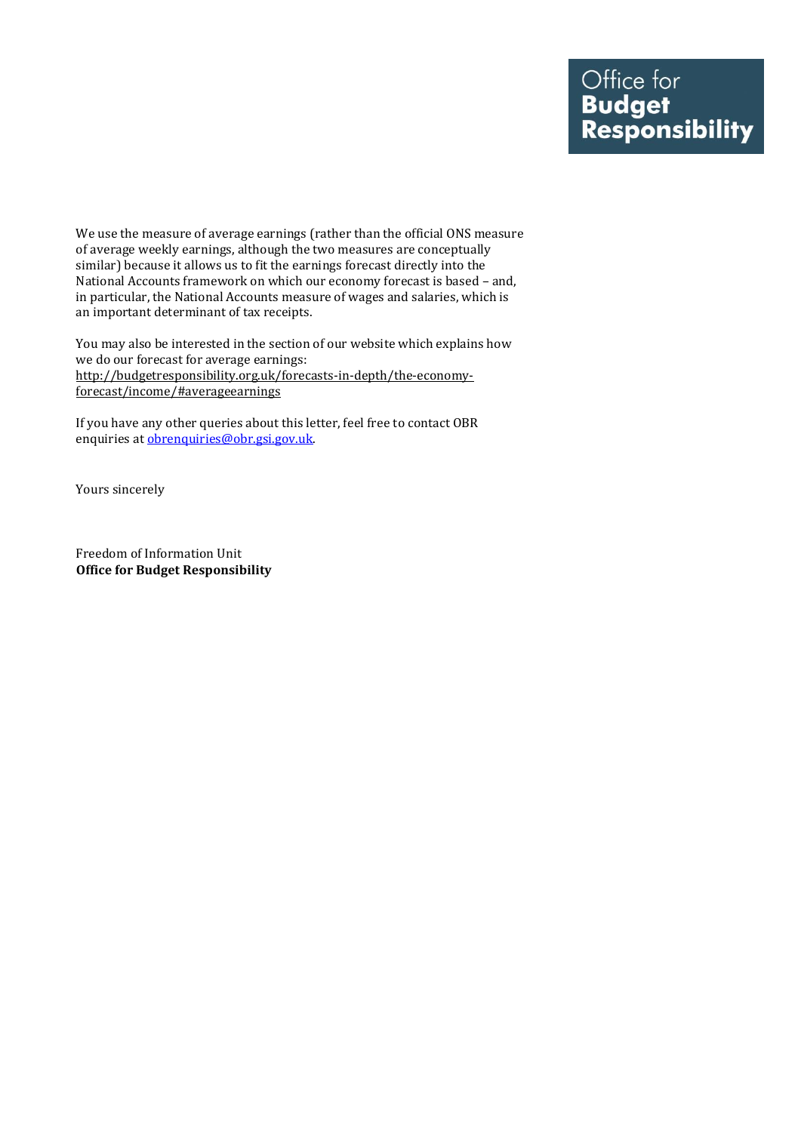We use the measure of average earnings (rather than the official ONS measure of average weekly earnings, although the two measures are conceptually similar) because it allows us to fit the earnings forecast directly into the National Accounts framework on which our economy forecast is based – and, in particular, the National Accounts measure of wages and salaries, which is an important determinant of tax receipts.

You may also be interested in the section of our website which explains how we do our forecast for average earnings: [http://budgetresponsibility.org.uk/forecasts-in-depth/the-economy](http://budgetresponsibility.org.uk/forecasts-in-depth/the-economy-forecast/income/#averageearnings)[forecast/income/#averageearnings](http://budgetresponsibility.org.uk/forecasts-in-depth/the-economy-forecast/income/#averageearnings)

If you have any other queries about this letter, feel free to contact OBR enquiries a[t obrenquiries@obr.gsi.gov.uk.](mailto:obrenquiries@obr.gsi.gov.uk?subject=FOI%2009/03/11)

Yours sincerely

Freedom of Information Unit **Office for Budget Responsibility**